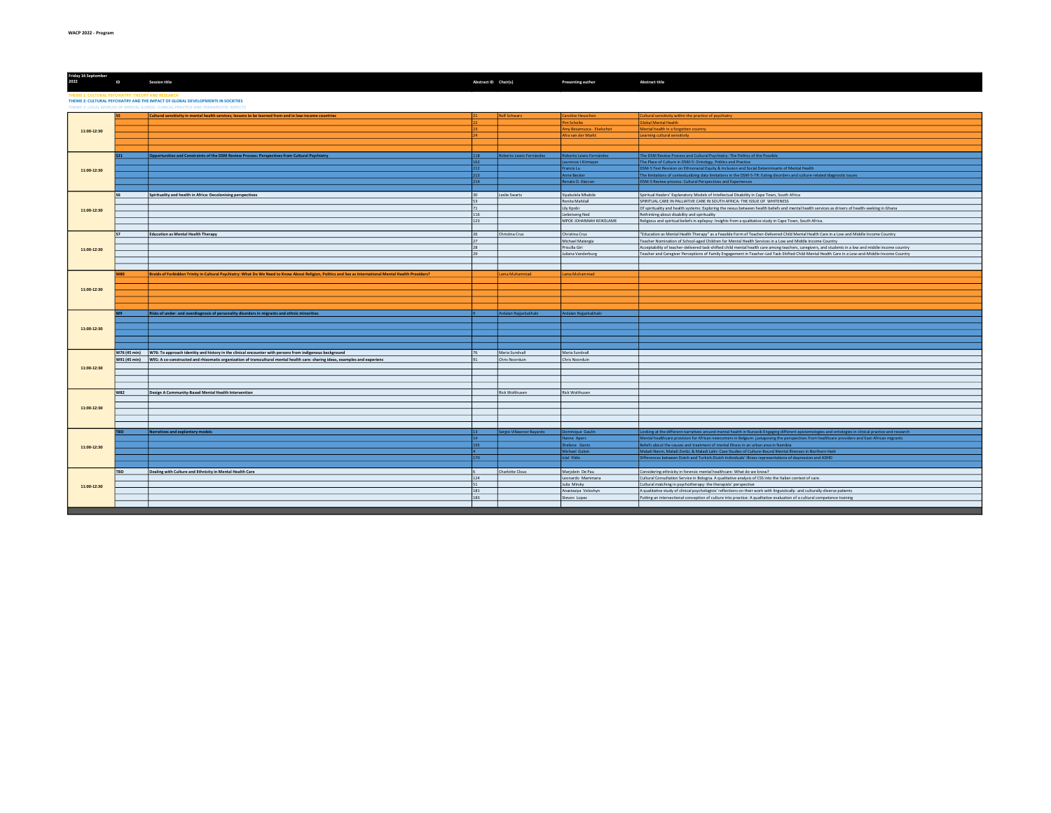| Friday 16 September<br>2022                                                                                                                                                                                                | ID         | <b>Session title</b>                                                                                                                                   | Abstract ID Chair(s)  |                           | Presenting author         | <b>Abstract title</b>                                                                                                                                  |  |  |
|----------------------------------------------------------------------------------------------------------------------------------------------------------------------------------------------------------------------------|------------|--------------------------------------------------------------------------------------------------------------------------------------------------------|-----------------------|---------------------------|---------------------------|--------------------------------------------------------------------------------------------------------------------------------------------------------|--|--|
| THEME 1: CULTURAL PSYCHIATRY: THEORY AND RESEARCH<br>THEME 2: CULTURAL PSYCHIATRY AND THE IMPACT OF GLOBAL DEVELOPMENTS IN SOCIETIES<br>THEME 3: LOCAL WORLDS OF MENTAL ILLNESS: CLINICAL PRACTICE AND THERAPEUTIC ASPECTS |            |                                                                                                                                                        |                       |                           |                           |                                                                                                                                                        |  |  |
|                                                                                                                                                                                                                            |            |                                                                                                                                                        |                       |                           |                           |                                                                                                                                                        |  |  |
|                                                                                                                                                                                                                            |            | Cultural sensitivity in mental health services; lessons to be learned from and in low-income countries                                                 |                       | Rolf Schwarz              | Caroline Heuschen         | Cultural sensitivity within the practice of psychiatry                                                                                                 |  |  |
|                                                                                                                                                                                                                            |            |                                                                                                                                                        |                       |                           | Pim Scholte               | <b>Global Mental Health</b>                                                                                                                            |  |  |
| 11:00-12:30                                                                                                                                                                                                                |            |                                                                                                                                                        |                       |                           | Amy Besamusca - Ekelschot | Mental health in a forgotten country                                                                                                                   |  |  |
|                                                                                                                                                                                                                            |            |                                                                                                                                                        |                       |                           | Afra van der Markt        | Learning cultural sensitivity                                                                                                                          |  |  |
|                                                                                                                                                                                                                            |            |                                                                                                                                                        |                       |                           |                           |                                                                                                                                                        |  |  |
|                                                                                                                                                                                                                            |            |                                                                                                                                                        |                       |                           |                           |                                                                                                                                                        |  |  |
|                                                                                                                                                                                                                            |            | Opportunities and Constraints of the DSM Review Process: Perspectives from Cultural Psychiatry                                                         | 118                   | Roberto Lewis-Fernández   | Roberto Lewis-Fernández   | The DSM Review Process and Cultural Psychiatry: The Politics of the Possible                                                                           |  |  |
|                                                                                                                                                                                                                            |            |                                                                                                                                                        | 162                   |                           | Laurence J Kirmayer       | The Place of Culture in DSM-5: Ontology, Politics and Practice                                                                                         |  |  |
| 11:00-12:30                                                                                                                                                                                                                |            |                                                                                                                                                        | 212                   |                           | Francis Lu                | DSM-5 Text Revision on Ethnoracial Equity & Inclusion and Social Determinants of Mental Health                                                         |  |  |
|                                                                                                                                                                                                                            |            |                                                                                                                                                        | 213                   |                           | Anne Becker               | The limitations of contextualizing data limitations in the DSM-5-TR: Eating disorders and culture-related diagnostic issues                            |  |  |
|                                                                                                                                                                                                                            |            |                                                                                                                                                        | 214                   |                           | Renato D. Alarcon         | DSM-5 Review process: Cultural Perspectives and Experiences                                                                                            |  |  |
|                                                                                                                                                                                                                            |            |                                                                                                                                                        |                       |                           |                           |                                                                                                                                                        |  |  |
|                                                                                                                                                                                                                            |            | Spirituality and health in Africa: Decolonising perspectives                                                                                           | 30                    | Leslie Swartz             | Siyabulela Mkabile        | Spiritual Healers' Explanatory Models of Intellectual Disability in Cape Town, South Africa                                                            |  |  |
|                                                                                                                                                                                                                            |            |                                                                                                                                                        | 53                    |                           | Ronita Mahilall           | SPIRITUAL CARE IN PALLIATIVE CARE IN SOUTH AFRICA: THE ISSUE OF WHITENESS                                                                              |  |  |
|                                                                                                                                                                                                                            |            |                                                                                                                                                        | 71                    |                           | Lily Kpobi                | Of spirituality and health systems: Exploring the nexus between health beliefs and mental health services as drivers of health-seeking in Ghana        |  |  |
| 11:00-12:30                                                                                                                                                                                                                |            |                                                                                                                                                        | 116                   |                           | Lieketseng Ned            | Rethinking about disability and spirituality                                                                                                           |  |  |
|                                                                                                                                                                                                                            |            |                                                                                                                                                        | 123                   |                           | MPOE JOHANNAH KEIKELAME   | Religious and spiritual beliefs in epilepsy: Insights from a qualitative study in Cape Town, South Africa.                                             |  |  |
|                                                                                                                                                                                                                            |            |                                                                                                                                                        |                       |                           |                           |                                                                                                                                                        |  |  |
|                                                                                                                                                                                                                            |            |                                                                                                                                                        |                       |                           |                           |                                                                                                                                                        |  |  |
|                                                                                                                                                                                                                            |            | Education as Mental Health Therapy                                                                                                                     | 26<br>$\overline{27}$ | Christina Cruz            | Christina Cruz            | "Education as Mental Health Therapy" as a Feasible Form of Teacher-Delivered Child Mental Health Care in a Low and Middle Income Country               |  |  |
|                                                                                                                                                                                                                            |            |                                                                                                                                                        |                       |                           | Michael Matergia          | Teacher Nomination of School-aged Children for Mental Health Services in a Low and Middle Income Country                                               |  |  |
| 11:00-12:30                                                                                                                                                                                                                |            |                                                                                                                                                        | 28                    |                           | Priscilla Giri            | Acceptability of teacher-delivered task-shifted child mental health care among teachers, caregivers, and students in a low and middle income country   |  |  |
|                                                                                                                                                                                                                            |            |                                                                                                                                                        | 29                    |                           | Juliana Vanderburg        | Teacher and Caregiver Perceptions of Family Engagement in Teacher-Led Task-Shifted Child Mental Health Care in a Low-and-Middle-Income Country         |  |  |
|                                                                                                                                                                                                                            |            |                                                                                                                                                        |                       |                           |                           |                                                                                                                                                        |  |  |
|                                                                                                                                                                                                                            |            |                                                                                                                                                        |                       |                           |                           |                                                                                                                                                        |  |  |
|                                                                                                                                                                                                                            | <b>W80</b> | Braids of Forbidden Trinity in Cultural Psychiatry: What Do We Need to Know About Religion, Politics and Sex as International Mental Health Providers? |                       | Lama Muhammad             | Lama Muhammad             |                                                                                                                                                        |  |  |
|                                                                                                                                                                                                                            |            |                                                                                                                                                        |                       |                           |                           |                                                                                                                                                        |  |  |
| 11:00-12:30                                                                                                                                                                                                                |            |                                                                                                                                                        |                       |                           |                           |                                                                                                                                                        |  |  |
|                                                                                                                                                                                                                            |            |                                                                                                                                                        |                       |                           |                           |                                                                                                                                                        |  |  |
|                                                                                                                                                                                                                            |            |                                                                                                                                                        |                       |                           |                           |                                                                                                                                                        |  |  |
|                                                                                                                                                                                                                            |            |                                                                                                                                                        |                       |                           |                           |                                                                                                                                                        |  |  |
|                                                                                                                                                                                                                            |            | Risks of under- and overdiagnosis of personality disorders in migrants and ethnic minorities                                                           |                       | Ardalan Najjarkakhaki     | Ardalan Najjarkakhaki     |                                                                                                                                                        |  |  |
|                                                                                                                                                                                                                            |            |                                                                                                                                                        |                       |                           |                           |                                                                                                                                                        |  |  |
| 11:00-12:30                                                                                                                                                                                                                |            |                                                                                                                                                        |                       |                           |                           |                                                                                                                                                        |  |  |
|                                                                                                                                                                                                                            |            |                                                                                                                                                        |                       |                           |                           |                                                                                                                                                        |  |  |
|                                                                                                                                                                                                                            |            |                                                                                                                                                        |                       |                           |                           |                                                                                                                                                        |  |  |
|                                                                                                                                                                                                                            |            |                                                                                                                                                        |                       |                           |                           |                                                                                                                                                        |  |  |
|                                                                                                                                                                                                                            |            | W76 (45 min) W76: To approach identity and history in the clinical encounter with persons from indigenous background                                   | 76                    | Maria Sundvall            | Maria Sundvall            |                                                                                                                                                        |  |  |
|                                                                                                                                                                                                                            |            | W91 (45 min) W91: A co-constructed and rhizomatic organization of transcultural mental health care: sharing ideas, examples and experienc              |                       | Chris Noorduin            | Chris Noorduin            |                                                                                                                                                        |  |  |
|                                                                                                                                                                                                                            |            |                                                                                                                                                        |                       |                           |                           |                                                                                                                                                        |  |  |
| 11:00-12:30                                                                                                                                                                                                                |            |                                                                                                                                                        |                       |                           |                           |                                                                                                                                                        |  |  |
|                                                                                                                                                                                                                            |            |                                                                                                                                                        |                       |                           |                           |                                                                                                                                                        |  |  |
|                                                                                                                                                                                                                            |            |                                                                                                                                                        |                       |                           |                           |                                                                                                                                                        |  |  |
|                                                                                                                                                                                                                            |            |                                                                                                                                                        |                       |                           |                           |                                                                                                                                                        |  |  |
|                                                                                                                                                                                                                            | <b>W82</b> | Design A Community-Based Mental Health Intervention                                                                                                    |                       | Rick Wolthusen            | Rick Wolthusen            |                                                                                                                                                        |  |  |
|                                                                                                                                                                                                                            |            |                                                                                                                                                        |                       |                           |                           |                                                                                                                                                        |  |  |
| 11:00-12:30                                                                                                                                                                                                                |            |                                                                                                                                                        |                       |                           |                           |                                                                                                                                                        |  |  |
|                                                                                                                                                                                                                            |            |                                                                                                                                                        |                       |                           |                           |                                                                                                                                                        |  |  |
|                                                                                                                                                                                                                            |            |                                                                                                                                                        |                       |                           |                           |                                                                                                                                                        |  |  |
|                                                                                                                                                                                                                            |            |                                                                                                                                                        |                       |                           |                           |                                                                                                                                                        |  |  |
|                                                                                                                                                                                                                            | TRD.       | Narratives and explantory models                                                                                                                       | 13                    | Sergio Villasenor Bayardo | Dominique Gaulin          | Looking at the different narratives around mental health in Nunavik:Engaging different epistemologies and ontologies in clinical practice and research |  |  |
|                                                                                                                                                                                                                            |            |                                                                                                                                                        | 14                    |                           | Hanne Apers               | Mental healthcare provision for African newcomers in Belgium: juxtaposing the perspectives from healthcare providers and East-African migrants         |  |  |
| 11:00-12:30                                                                                                                                                                                                                |            |                                                                                                                                                        | 195                   |                           | Shelene Gentz             | Beliefs about the causes and treatment of mental illness in an urban area in Namibia                                                                   |  |  |
|                                                                                                                                                                                                                            |            |                                                                                                                                                        |                       |                           | Michael Galvin            | Maladi Nanm, Maladi Zonbi, & Maladi Lalin: Case Studies of Culture-Bound Mental Illnesses in Northern Haiti                                            |  |  |
|                                                                                                                                                                                                                            |            |                                                                                                                                                        | 170                   |                           | Icial Yildiz              | Differences between Dutch and Turkish-Dutch individuals' illness representations of depression and ADHD                                                |  |  |
|                                                                                                                                                                                                                            |            |                                                                                                                                                        |                       |                           |                           |                                                                                                                                                        |  |  |
| 11:00-12:30                                                                                                                                                                                                                | <b>TBD</b> | Dealing with Culture and Ethnicity in Mental Health Care                                                                                               |                       | Charlotte Clous           | Marjolein De Pau          | Considering ethnicity in forensic mental healthcare: What do we know?                                                                                  |  |  |
|                                                                                                                                                                                                                            |            |                                                                                                                                                        | 124                   |                           | Leonardo Mammana          | Cultural Consultation Service in Bologna. A qualitative analysis of CSS into the Italian context of care.                                              |  |  |
|                                                                                                                                                                                                                            |            |                                                                                                                                                        | 51                    |                           | Julia Mirsky              | Cultural matching in psychotherapy: the therapists' perspective                                                                                        |  |  |
|                                                                                                                                                                                                                            |            |                                                                                                                                                        | 181                   |                           | Anastasiya Voloshyn       | A qualitative study of clinical psychologists' reflections on their work with linguistically- and culturally-diverse patients                          |  |  |
|                                                                                                                                                                                                                            |            |                                                                                                                                                        | 183                   |                           | Steven Lopez              | Putting an intersectional conception of culture into practice: A qualitative evaluation of a cultural competence training                              |  |  |
|                                                                                                                                                                                                                            |            |                                                                                                                                                        |                       |                           |                           |                                                                                                                                                        |  |  |
|                                                                                                                                                                                                                            |            |                                                                                                                                                        |                       |                           |                           |                                                                                                                                                        |  |  |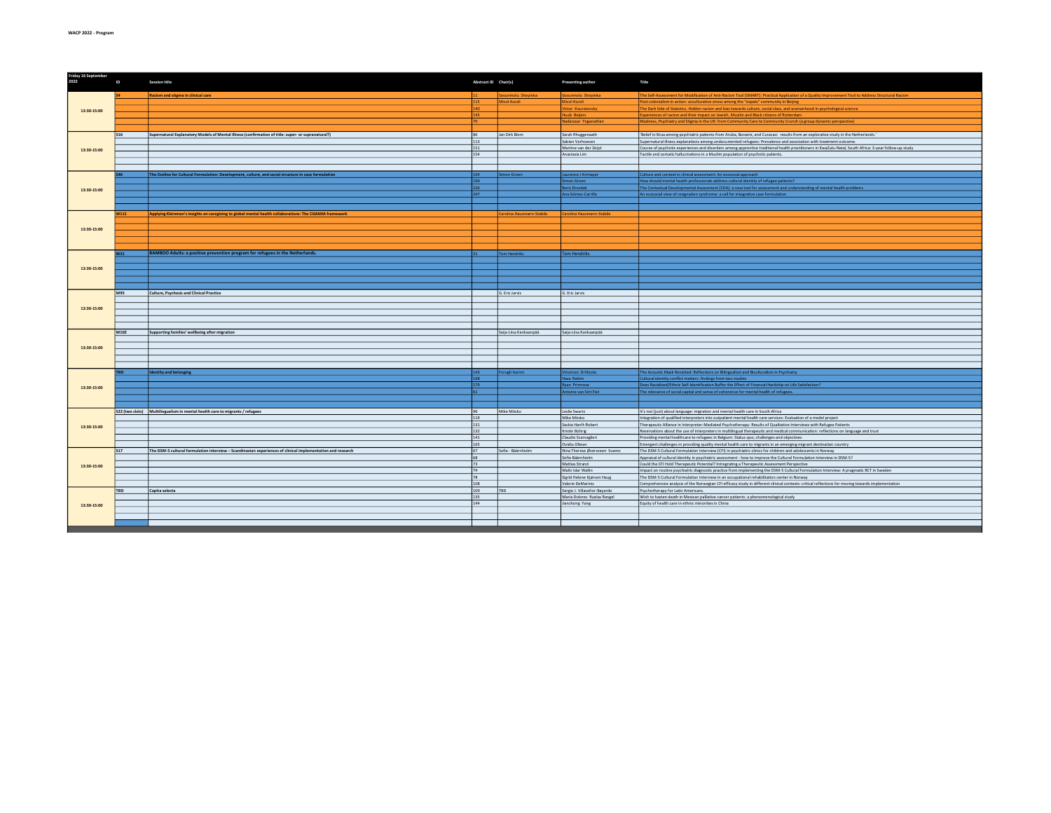| The Self-Assessment for Modification of Anti-Racism Tool (SMART): Practical Application of a Quality Improvement Tool to Address Structural Racism<br>Racism and stigma in clinical care<br>iosunmolu Shoyinka<br>Sosunmolu Shoyinka<br>Micol Ascoli<br>115<br>Micol Ascoli<br>Post-colonialism in action: acculturative stress among the "expats" community in Beijing<br>140<br>Victor Kouratovsky<br>The Dark Side of Statistics. Hidden racism and bias towards culture, social class, and womanhood in psychological science<br>13:30-15:00<br>Huub Beijers<br>Experiences of racism and their impact on Jewish, Muslim and Black citizens of Rotterdam<br>145<br>Nadarasar Yoganathan<br>Madness, Psychiatry and Stigma in the UK: from Community Care to Community Crunch (a group dynamic perspective)<br>Supernatural Explanatory Models of Mental Illness (confirmation of title: super- or supranatural?)<br>Jan Dirk Blom<br>Sarah Rhuggenaath<br>'Belief in Brua among psychiatric patients from Aruba, Bonaire, and Curacao: results from an explorative study in the Netherlands.'<br><b>S16</b><br>86<br>113<br>Sabien Verhoeven<br>Supernatural illness explanations among undocumented refugees: Prevalence and association with treatment outcome.<br>151<br>Martine van der Zeijst<br>Course of psychotic experiences and disorders among apprentice traditional health practitioners in KwaZulu-Natal, South Africa: 3-year follow-up study<br>13:30-15:00<br>154<br>Anastasia Lim<br>Tactile and somatic hallucinations in a Muslim population of psychotic patients.<br>The Outline for Cultural Formulation: Development, culture, and social structure in case formulation<br>Simon Groen<br>Laurence J Kirmay<br>Culture and context in clinical assessment: An ecosocial approach<br>164<br>190<br>Simon Groen<br>How should mental health professionals address cultural identity of refugee patients?<br>226<br><b>Boris Drozdek</b><br>The Contextual Developmental Assessment (CDA): a new tool for assessment and understanding of mental health problems<br>13:30-15:00<br>Ana Gómez-Carrillo<br>247<br>An ecosocial view of resignation syndrome: a call for integrative case formulation<br>Applying Kleinman's insights on caregiving to global mental health collaborations: The CISAMIA framework<br>Carolina Hausmann-Stabile<br><b>W111</b><br>Carolina Hausmann-Stabile<br>13:30-15:00<br>BAMBOO Adults: a positive prevention program for refugees in the Netherlands.<br>Tom Hendriks<br>Tom Hendriks<br>W31<br>13:30-15:00<br>W95<br>Culture, Psychosis and Clinical Practice<br>G. Eric Jarvis<br>G. Eric Jarvis<br>13:30-15:00<br>Supporting families' wellbeing after migration<br>Saija-Liisa Kankaanpää<br>Saija-Liisa Kankaanpää<br>W102<br>13:30-15:00<br>The Acoustic Mask Revisited: Reflections on Bilingualism and Biculturalism in Psychiatry<br>Vincenzo Di Nicola<br><b>Identity and belonging</b><br>143<br>Forugh Karimi<br>168<br>Haza Rahim<br>Cultural identity conflict matters: findings from two studies<br>Does Racialized/Ethnic Self-Identification Buffer the Effect of Financial Hardship on Life Satisfaction?<br>179<br>Ryan Primrose<br>13:30-15:00<br>Antoine van Sint Fiet<br>The relevance of social capital and sense of coherence for mental health of refugees.<br>S22 (two slots) Multilingualism in mental health care to migrants / refugees<br>Mike Mösko<br>96<br>Leslie Swartz<br>It's not (just) about language: migration and mental health care in South Africa<br>Mike Mösko<br>119<br>Integration of qualified interpreters into outpatient mental health care services: Evaluation of a model project<br>131<br>Saskia Hanft-Robert<br>Therapeutic Alliance in Interpreter-Mediated Psychotherapy: Results of Qualitative Interviews with Refugee Patients<br>13:30-15:00<br>132<br>Kristin Bührig<br>Reservations about the use of interpreters in multilingual therapeutic and medical communication: reflections on language and trust<br>141<br>Claudio Scarvaglieri<br>Providing mental healthcare to refugees in Belgium: Status quo, challenges and objectives<br>165<br>Ovidiu Oltean<br>Emergent challenges in providing quality mental health care to migrants in an emerging migrant destination country<br>Sofie - Bäärnhielm<br>Nina Therese Øversveen Svamo<br>The DSM-5 Cultural Formulation Interview (CFI) in psychiatric clinics for children and adolescents in Norway<br>The DSM-5 cultural formulation interview - Scandinavian experiences of clinical implementation and research<br><b>S17</b><br>67<br>Sofie Bäärnhielm<br>68<br>Appraisal of cultural identity in psychiatric assessment - how to improve the Cultural Formulation Interview in DSM-5?<br>Mattias Strand<br>Could the CFI Hold Therapeutic Potential? Intregrating a Therapeutic Assessment Perspective<br>73<br>13:30-15:00<br><b>74</b><br>Malin Idar Wallin<br>Impact on routine psychiatric diagnostic practice from implementing the DSM-5 Cultural Formulation Interview: A pragmatic RCT in Sweden<br>78<br>Sigrid Helene Kjørven Haug<br>The DSM-5 Cultural Formulation Interview in an occupational rehabilitation center in Norway<br>108<br>Comprehensive analysis of the Norwegian CFI efficacy study in different clinical contexts: critical reflections for moving towards implementation<br>Valerie DeMarinis<br>109<br>TBD<br>Sergio J. Villaseñor-Bayardo<br>Psychotherapy for Latin Americans.<br><b>TBD</b><br>Capita selecta<br>135<br>María Dolores Ruelas Rangel<br>Wish to hasten death in Mexican palliative cancer patients: a phenomenological study<br>144<br>Jianzhong Yang<br>Equity of health care in ethnic minorities in China<br>13:30-15:00 |  | Friday 16 September<br>2022 | ID | <b>Session title</b> | Abstract ID Chair(s) | Presenting author | Title |
|----------------------------------------------------------------------------------------------------------------------------------------------------------------------------------------------------------------------------------------------------------------------------------------------------------------------------------------------------------------------------------------------------------------------------------------------------------------------------------------------------------------------------------------------------------------------------------------------------------------------------------------------------------------------------------------------------------------------------------------------------------------------------------------------------------------------------------------------------------------------------------------------------------------------------------------------------------------------------------------------------------------------------------------------------------------------------------------------------------------------------------------------------------------------------------------------------------------------------------------------------------------------------------------------------------------------------------------------------------------------------------------------------------------------------------------------------------------------------------------------------------------------------------------------------------------------------------------------------------------------------------------------------------------------------------------------------------------------------------------------------------------------------------------------------------------------------------------------------------------------------------------------------------------------------------------------------------------------------------------------------------------------------------------------------------------------------------------------------------------------------------------------------------------------------------------------------------------------------------------------------------------------------------------------------------------------------------------------------------------------------------------------------------------------------------------------------------------------------------------------------------------------------------------------------------------------------------------------------------------------------------------------------------------------------------------------------------------------------------------------------------------------------------------------------------------------------------------------------------------------------------------------------------------------------------------------------------------------------------------------------------------------------------------------------------------------------------------------------------------------------------------------------------------------------------------------------------------------------------------------------------------------------------------------------------------------------------------------------------------------------------------------------------------------------------------------------------------------------------------------------------------------------------------------------------------------------------------------------------------------------------------------------------------------------------------------------------------------------------------------------------------------------------------------------------------------------------------------------------------------------------------------------------------------------------------------------------------------------------------------------------------------------------------------------------------------------------------------------------------------------------------------------------------------------------------------------------------------------------------------------------------------------------------------------------------------------------------------------------------------------------------------------------------------------------------------------------------------------------------------------------------------------------------------------------------------------------------------------------------------------------------------------------------------------------------------------------------------------------------------------------------------------------------------------------------------------------------------------------------------------------------------------------------------------------------------------------------------------------------------------------------------------------------------------------------------------------------------------------------------------------------------------------------------------------------------------------------------------------------------------------------------------------------------------------------------------------------------------------------------------------------------------------------------------------------------------------------------------------------------------------------------------------------------------------------------------------------------------------------------------------------------------------------------------------------------------------------------------------------------------------------------|--|-----------------------------|----|----------------------|----------------------|-------------------|-------|
|                                                                                                                                                                                                                                                                                                                                                                                                                                                                                                                                                                                                                                                                                                                                                                                                                                                                                                                                                                                                                                                                                                                                                                                                                                                                                                                                                                                                                                                                                                                                                                                                                                                                                                                                                                                                                                                                                                                                                                                                                                                                                                                                                                                                                                                                                                                                                                                                                                                                                                                                                                                                                                                                                                                                                                                                                                                                                                                                                                                                                                                                                                                                                                                                                                                                                                                                                                                                                                                                                                                                                                                                                                                                                                                                                                                                                                                                                                                                                                                                                                                                                                                                                                                                                                                                                                                                                                                                                                                                                                                                                                                                                                                                                                                                                                                                                                                                                                                                                                                                                                                                                                                                                                                                                                                                                                                                                                                                                                                                                                                                                                                                                                                                                                                                                                      |  |                             |    |                      |                      |                   |       |
|                                                                                                                                                                                                                                                                                                                                                                                                                                                                                                                                                                                                                                                                                                                                                                                                                                                                                                                                                                                                                                                                                                                                                                                                                                                                                                                                                                                                                                                                                                                                                                                                                                                                                                                                                                                                                                                                                                                                                                                                                                                                                                                                                                                                                                                                                                                                                                                                                                                                                                                                                                                                                                                                                                                                                                                                                                                                                                                                                                                                                                                                                                                                                                                                                                                                                                                                                                                                                                                                                                                                                                                                                                                                                                                                                                                                                                                                                                                                                                                                                                                                                                                                                                                                                                                                                                                                                                                                                                                                                                                                                                                                                                                                                                                                                                                                                                                                                                                                                                                                                                                                                                                                                                                                                                                                                                                                                                                                                                                                                                                                                                                                                                                                                                                                                                      |  |                             |    |                      |                      |                   |       |
|                                                                                                                                                                                                                                                                                                                                                                                                                                                                                                                                                                                                                                                                                                                                                                                                                                                                                                                                                                                                                                                                                                                                                                                                                                                                                                                                                                                                                                                                                                                                                                                                                                                                                                                                                                                                                                                                                                                                                                                                                                                                                                                                                                                                                                                                                                                                                                                                                                                                                                                                                                                                                                                                                                                                                                                                                                                                                                                                                                                                                                                                                                                                                                                                                                                                                                                                                                                                                                                                                                                                                                                                                                                                                                                                                                                                                                                                                                                                                                                                                                                                                                                                                                                                                                                                                                                                                                                                                                                                                                                                                                                                                                                                                                                                                                                                                                                                                                                                                                                                                                                                                                                                                                                                                                                                                                                                                                                                                                                                                                                                                                                                                                                                                                                                                                      |  |                             |    |                      |                      |                   |       |
|                                                                                                                                                                                                                                                                                                                                                                                                                                                                                                                                                                                                                                                                                                                                                                                                                                                                                                                                                                                                                                                                                                                                                                                                                                                                                                                                                                                                                                                                                                                                                                                                                                                                                                                                                                                                                                                                                                                                                                                                                                                                                                                                                                                                                                                                                                                                                                                                                                                                                                                                                                                                                                                                                                                                                                                                                                                                                                                                                                                                                                                                                                                                                                                                                                                                                                                                                                                                                                                                                                                                                                                                                                                                                                                                                                                                                                                                                                                                                                                                                                                                                                                                                                                                                                                                                                                                                                                                                                                                                                                                                                                                                                                                                                                                                                                                                                                                                                                                                                                                                                                                                                                                                                                                                                                                                                                                                                                                                                                                                                                                                                                                                                                                                                                                                                      |  |                             |    |                      |                      |                   |       |
|                                                                                                                                                                                                                                                                                                                                                                                                                                                                                                                                                                                                                                                                                                                                                                                                                                                                                                                                                                                                                                                                                                                                                                                                                                                                                                                                                                                                                                                                                                                                                                                                                                                                                                                                                                                                                                                                                                                                                                                                                                                                                                                                                                                                                                                                                                                                                                                                                                                                                                                                                                                                                                                                                                                                                                                                                                                                                                                                                                                                                                                                                                                                                                                                                                                                                                                                                                                                                                                                                                                                                                                                                                                                                                                                                                                                                                                                                                                                                                                                                                                                                                                                                                                                                                                                                                                                                                                                                                                                                                                                                                                                                                                                                                                                                                                                                                                                                                                                                                                                                                                                                                                                                                                                                                                                                                                                                                                                                                                                                                                                                                                                                                                                                                                                                                      |  |                             |    |                      |                      |                   |       |
|                                                                                                                                                                                                                                                                                                                                                                                                                                                                                                                                                                                                                                                                                                                                                                                                                                                                                                                                                                                                                                                                                                                                                                                                                                                                                                                                                                                                                                                                                                                                                                                                                                                                                                                                                                                                                                                                                                                                                                                                                                                                                                                                                                                                                                                                                                                                                                                                                                                                                                                                                                                                                                                                                                                                                                                                                                                                                                                                                                                                                                                                                                                                                                                                                                                                                                                                                                                                                                                                                                                                                                                                                                                                                                                                                                                                                                                                                                                                                                                                                                                                                                                                                                                                                                                                                                                                                                                                                                                                                                                                                                                                                                                                                                                                                                                                                                                                                                                                                                                                                                                                                                                                                                                                                                                                                                                                                                                                                                                                                                                                                                                                                                                                                                                                                                      |  |                             |    |                      |                      |                   |       |
|                                                                                                                                                                                                                                                                                                                                                                                                                                                                                                                                                                                                                                                                                                                                                                                                                                                                                                                                                                                                                                                                                                                                                                                                                                                                                                                                                                                                                                                                                                                                                                                                                                                                                                                                                                                                                                                                                                                                                                                                                                                                                                                                                                                                                                                                                                                                                                                                                                                                                                                                                                                                                                                                                                                                                                                                                                                                                                                                                                                                                                                                                                                                                                                                                                                                                                                                                                                                                                                                                                                                                                                                                                                                                                                                                                                                                                                                                                                                                                                                                                                                                                                                                                                                                                                                                                                                                                                                                                                                                                                                                                                                                                                                                                                                                                                                                                                                                                                                                                                                                                                                                                                                                                                                                                                                                                                                                                                                                                                                                                                                                                                                                                                                                                                                                                      |  |                             |    |                      |                      |                   |       |
|                                                                                                                                                                                                                                                                                                                                                                                                                                                                                                                                                                                                                                                                                                                                                                                                                                                                                                                                                                                                                                                                                                                                                                                                                                                                                                                                                                                                                                                                                                                                                                                                                                                                                                                                                                                                                                                                                                                                                                                                                                                                                                                                                                                                                                                                                                                                                                                                                                                                                                                                                                                                                                                                                                                                                                                                                                                                                                                                                                                                                                                                                                                                                                                                                                                                                                                                                                                                                                                                                                                                                                                                                                                                                                                                                                                                                                                                                                                                                                                                                                                                                                                                                                                                                                                                                                                                                                                                                                                                                                                                                                                                                                                                                                                                                                                                                                                                                                                                                                                                                                                                                                                                                                                                                                                                                                                                                                                                                                                                                                                                                                                                                                                                                                                                                                      |  |                             |    |                      |                      |                   |       |
|                                                                                                                                                                                                                                                                                                                                                                                                                                                                                                                                                                                                                                                                                                                                                                                                                                                                                                                                                                                                                                                                                                                                                                                                                                                                                                                                                                                                                                                                                                                                                                                                                                                                                                                                                                                                                                                                                                                                                                                                                                                                                                                                                                                                                                                                                                                                                                                                                                                                                                                                                                                                                                                                                                                                                                                                                                                                                                                                                                                                                                                                                                                                                                                                                                                                                                                                                                                                                                                                                                                                                                                                                                                                                                                                                                                                                                                                                                                                                                                                                                                                                                                                                                                                                                                                                                                                                                                                                                                                                                                                                                                                                                                                                                                                                                                                                                                                                                                                                                                                                                                                                                                                                                                                                                                                                                                                                                                                                                                                                                                                                                                                                                                                                                                                                                      |  |                             |    |                      |                      |                   |       |
|                                                                                                                                                                                                                                                                                                                                                                                                                                                                                                                                                                                                                                                                                                                                                                                                                                                                                                                                                                                                                                                                                                                                                                                                                                                                                                                                                                                                                                                                                                                                                                                                                                                                                                                                                                                                                                                                                                                                                                                                                                                                                                                                                                                                                                                                                                                                                                                                                                                                                                                                                                                                                                                                                                                                                                                                                                                                                                                                                                                                                                                                                                                                                                                                                                                                                                                                                                                                                                                                                                                                                                                                                                                                                                                                                                                                                                                                                                                                                                                                                                                                                                                                                                                                                                                                                                                                                                                                                                                                                                                                                                                                                                                                                                                                                                                                                                                                                                                                                                                                                                                                                                                                                                                                                                                                                                                                                                                                                                                                                                                                                                                                                                                                                                                                                                      |  |                             |    |                      |                      |                   |       |
|                                                                                                                                                                                                                                                                                                                                                                                                                                                                                                                                                                                                                                                                                                                                                                                                                                                                                                                                                                                                                                                                                                                                                                                                                                                                                                                                                                                                                                                                                                                                                                                                                                                                                                                                                                                                                                                                                                                                                                                                                                                                                                                                                                                                                                                                                                                                                                                                                                                                                                                                                                                                                                                                                                                                                                                                                                                                                                                                                                                                                                                                                                                                                                                                                                                                                                                                                                                                                                                                                                                                                                                                                                                                                                                                                                                                                                                                                                                                                                                                                                                                                                                                                                                                                                                                                                                                                                                                                                                                                                                                                                                                                                                                                                                                                                                                                                                                                                                                                                                                                                                                                                                                                                                                                                                                                                                                                                                                                                                                                                                                                                                                                                                                                                                                                                      |  |                             |    |                      |                      |                   |       |
|                                                                                                                                                                                                                                                                                                                                                                                                                                                                                                                                                                                                                                                                                                                                                                                                                                                                                                                                                                                                                                                                                                                                                                                                                                                                                                                                                                                                                                                                                                                                                                                                                                                                                                                                                                                                                                                                                                                                                                                                                                                                                                                                                                                                                                                                                                                                                                                                                                                                                                                                                                                                                                                                                                                                                                                                                                                                                                                                                                                                                                                                                                                                                                                                                                                                                                                                                                                                                                                                                                                                                                                                                                                                                                                                                                                                                                                                                                                                                                                                                                                                                                                                                                                                                                                                                                                                                                                                                                                                                                                                                                                                                                                                                                                                                                                                                                                                                                                                                                                                                                                                                                                                                                                                                                                                                                                                                                                                                                                                                                                                                                                                                                                                                                                                                                      |  |                             |    |                      |                      |                   |       |
|                                                                                                                                                                                                                                                                                                                                                                                                                                                                                                                                                                                                                                                                                                                                                                                                                                                                                                                                                                                                                                                                                                                                                                                                                                                                                                                                                                                                                                                                                                                                                                                                                                                                                                                                                                                                                                                                                                                                                                                                                                                                                                                                                                                                                                                                                                                                                                                                                                                                                                                                                                                                                                                                                                                                                                                                                                                                                                                                                                                                                                                                                                                                                                                                                                                                                                                                                                                                                                                                                                                                                                                                                                                                                                                                                                                                                                                                                                                                                                                                                                                                                                                                                                                                                                                                                                                                                                                                                                                                                                                                                                                                                                                                                                                                                                                                                                                                                                                                                                                                                                                                                                                                                                                                                                                                                                                                                                                                                                                                                                                                                                                                                                                                                                                                                                      |  |                             |    |                      |                      |                   |       |
|                                                                                                                                                                                                                                                                                                                                                                                                                                                                                                                                                                                                                                                                                                                                                                                                                                                                                                                                                                                                                                                                                                                                                                                                                                                                                                                                                                                                                                                                                                                                                                                                                                                                                                                                                                                                                                                                                                                                                                                                                                                                                                                                                                                                                                                                                                                                                                                                                                                                                                                                                                                                                                                                                                                                                                                                                                                                                                                                                                                                                                                                                                                                                                                                                                                                                                                                                                                                                                                                                                                                                                                                                                                                                                                                                                                                                                                                                                                                                                                                                                                                                                                                                                                                                                                                                                                                                                                                                                                                                                                                                                                                                                                                                                                                                                                                                                                                                                                                                                                                                                                                                                                                                                                                                                                                                                                                                                                                                                                                                                                                                                                                                                                                                                                                                                      |  |                             |    |                      |                      |                   |       |
|                                                                                                                                                                                                                                                                                                                                                                                                                                                                                                                                                                                                                                                                                                                                                                                                                                                                                                                                                                                                                                                                                                                                                                                                                                                                                                                                                                                                                                                                                                                                                                                                                                                                                                                                                                                                                                                                                                                                                                                                                                                                                                                                                                                                                                                                                                                                                                                                                                                                                                                                                                                                                                                                                                                                                                                                                                                                                                                                                                                                                                                                                                                                                                                                                                                                                                                                                                                                                                                                                                                                                                                                                                                                                                                                                                                                                                                                                                                                                                                                                                                                                                                                                                                                                                                                                                                                                                                                                                                                                                                                                                                                                                                                                                                                                                                                                                                                                                                                                                                                                                                                                                                                                                                                                                                                                                                                                                                                                                                                                                                                                                                                                                                                                                                                                                      |  |                             |    |                      |                      |                   |       |
|                                                                                                                                                                                                                                                                                                                                                                                                                                                                                                                                                                                                                                                                                                                                                                                                                                                                                                                                                                                                                                                                                                                                                                                                                                                                                                                                                                                                                                                                                                                                                                                                                                                                                                                                                                                                                                                                                                                                                                                                                                                                                                                                                                                                                                                                                                                                                                                                                                                                                                                                                                                                                                                                                                                                                                                                                                                                                                                                                                                                                                                                                                                                                                                                                                                                                                                                                                                                                                                                                                                                                                                                                                                                                                                                                                                                                                                                                                                                                                                                                                                                                                                                                                                                                                                                                                                                                                                                                                                                                                                                                                                                                                                                                                                                                                                                                                                                                                                                                                                                                                                                                                                                                                                                                                                                                                                                                                                                                                                                                                                                                                                                                                                                                                                                                                      |  |                             |    |                      |                      |                   |       |
|                                                                                                                                                                                                                                                                                                                                                                                                                                                                                                                                                                                                                                                                                                                                                                                                                                                                                                                                                                                                                                                                                                                                                                                                                                                                                                                                                                                                                                                                                                                                                                                                                                                                                                                                                                                                                                                                                                                                                                                                                                                                                                                                                                                                                                                                                                                                                                                                                                                                                                                                                                                                                                                                                                                                                                                                                                                                                                                                                                                                                                                                                                                                                                                                                                                                                                                                                                                                                                                                                                                                                                                                                                                                                                                                                                                                                                                                                                                                                                                                                                                                                                                                                                                                                                                                                                                                                                                                                                                                                                                                                                                                                                                                                                                                                                                                                                                                                                                                                                                                                                                                                                                                                                                                                                                                                                                                                                                                                                                                                                                                                                                                                                                                                                                                                                      |  |                             |    |                      |                      |                   |       |
|                                                                                                                                                                                                                                                                                                                                                                                                                                                                                                                                                                                                                                                                                                                                                                                                                                                                                                                                                                                                                                                                                                                                                                                                                                                                                                                                                                                                                                                                                                                                                                                                                                                                                                                                                                                                                                                                                                                                                                                                                                                                                                                                                                                                                                                                                                                                                                                                                                                                                                                                                                                                                                                                                                                                                                                                                                                                                                                                                                                                                                                                                                                                                                                                                                                                                                                                                                                                                                                                                                                                                                                                                                                                                                                                                                                                                                                                                                                                                                                                                                                                                                                                                                                                                                                                                                                                                                                                                                                                                                                                                                                                                                                                                                                                                                                                                                                                                                                                                                                                                                                                                                                                                                                                                                                                                                                                                                                                                                                                                                                                                                                                                                                                                                                                                                      |  |                             |    |                      |                      |                   |       |
|                                                                                                                                                                                                                                                                                                                                                                                                                                                                                                                                                                                                                                                                                                                                                                                                                                                                                                                                                                                                                                                                                                                                                                                                                                                                                                                                                                                                                                                                                                                                                                                                                                                                                                                                                                                                                                                                                                                                                                                                                                                                                                                                                                                                                                                                                                                                                                                                                                                                                                                                                                                                                                                                                                                                                                                                                                                                                                                                                                                                                                                                                                                                                                                                                                                                                                                                                                                                                                                                                                                                                                                                                                                                                                                                                                                                                                                                                                                                                                                                                                                                                                                                                                                                                                                                                                                                                                                                                                                                                                                                                                                                                                                                                                                                                                                                                                                                                                                                                                                                                                                                                                                                                                                                                                                                                                                                                                                                                                                                                                                                                                                                                                                                                                                                                                      |  |                             |    |                      |                      |                   |       |
|                                                                                                                                                                                                                                                                                                                                                                                                                                                                                                                                                                                                                                                                                                                                                                                                                                                                                                                                                                                                                                                                                                                                                                                                                                                                                                                                                                                                                                                                                                                                                                                                                                                                                                                                                                                                                                                                                                                                                                                                                                                                                                                                                                                                                                                                                                                                                                                                                                                                                                                                                                                                                                                                                                                                                                                                                                                                                                                                                                                                                                                                                                                                                                                                                                                                                                                                                                                                                                                                                                                                                                                                                                                                                                                                                                                                                                                                                                                                                                                                                                                                                                                                                                                                                                                                                                                                                                                                                                                                                                                                                                                                                                                                                                                                                                                                                                                                                                                                                                                                                                                                                                                                                                                                                                                                                                                                                                                                                                                                                                                                                                                                                                                                                                                                                                      |  |                             |    |                      |                      |                   |       |
|                                                                                                                                                                                                                                                                                                                                                                                                                                                                                                                                                                                                                                                                                                                                                                                                                                                                                                                                                                                                                                                                                                                                                                                                                                                                                                                                                                                                                                                                                                                                                                                                                                                                                                                                                                                                                                                                                                                                                                                                                                                                                                                                                                                                                                                                                                                                                                                                                                                                                                                                                                                                                                                                                                                                                                                                                                                                                                                                                                                                                                                                                                                                                                                                                                                                                                                                                                                                                                                                                                                                                                                                                                                                                                                                                                                                                                                                                                                                                                                                                                                                                                                                                                                                                                                                                                                                                                                                                                                                                                                                                                                                                                                                                                                                                                                                                                                                                                                                                                                                                                                                                                                                                                                                                                                                                                                                                                                                                                                                                                                                                                                                                                                                                                                                                                      |  |                             |    |                      |                      |                   |       |
|                                                                                                                                                                                                                                                                                                                                                                                                                                                                                                                                                                                                                                                                                                                                                                                                                                                                                                                                                                                                                                                                                                                                                                                                                                                                                                                                                                                                                                                                                                                                                                                                                                                                                                                                                                                                                                                                                                                                                                                                                                                                                                                                                                                                                                                                                                                                                                                                                                                                                                                                                                                                                                                                                                                                                                                                                                                                                                                                                                                                                                                                                                                                                                                                                                                                                                                                                                                                                                                                                                                                                                                                                                                                                                                                                                                                                                                                                                                                                                                                                                                                                                                                                                                                                                                                                                                                                                                                                                                                                                                                                                                                                                                                                                                                                                                                                                                                                                                                                                                                                                                                                                                                                                                                                                                                                                                                                                                                                                                                                                                                                                                                                                                                                                                                                                      |  |                             |    |                      |                      |                   |       |
|                                                                                                                                                                                                                                                                                                                                                                                                                                                                                                                                                                                                                                                                                                                                                                                                                                                                                                                                                                                                                                                                                                                                                                                                                                                                                                                                                                                                                                                                                                                                                                                                                                                                                                                                                                                                                                                                                                                                                                                                                                                                                                                                                                                                                                                                                                                                                                                                                                                                                                                                                                                                                                                                                                                                                                                                                                                                                                                                                                                                                                                                                                                                                                                                                                                                                                                                                                                                                                                                                                                                                                                                                                                                                                                                                                                                                                                                                                                                                                                                                                                                                                                                                                                                                                                                                                                                                                                                                                                                                                                                                                                                                                                                                                                                                                                                                                                                                                                                                                                                                                                                                                                                                                                                                                                                                                                                                                                                                                                                                                                                                                                                                                                                                                                                                                      |  |                             |    |                      |                      |                   |       |
|                                                                                                                                                                                                                                                                                                                                                                                                                                                                                                                                                                                                                                                                                                                                                                                                                                                                                                                                                                                                                                                                                                                                                                                                                                                                                                                                                                                                                                                                                                                                                                                                                                                                                                                                                                                                                                                                                                                                                                                                                                                                                                                                                                                                                                                                                                                                                                                                                                                                                                                                                                                                                                                                                                                                                                                                                                                                                                                                                                                                                                                                                                                                                                                                                                                                                                                                                                                                                                                                                                                                                                                                                                                                                                                                                                                                                                                                                                                                                                                                                                                                                                                                                                                                                                                                                                                                                                                                                                                                                                                                                                                                                                                                                                                                                                                                                                                                                                                                                                                                                                                                                                                                                                                                                                                                                                                                                                                                                                                                                                                                                                                                                                                                                                                                                                      |  |                             |    |                      |                      |                   |       |
|                                                                                                                                                                                                                                                                                                                                                                                                                                                                                                                                                                                                                                                                                                                                                                                                                                                                                                                                                                                                                                                                                                                                                                                                                                                                                                                                                                                                                                                                                                                                                                                                                                                                                                                                                                                                                                                                                                                                                                                                                                                                                                                                                                                                                                                                                                                                                                                                                                                                                                                                                                                                                                                                                                                                                                                                                                                                                                                                                                                                                                                                                                                                                                                                                                                                                                                                                                                                                                                                                                                                                                                                                                                                                                                                                                                                                                                                                                                                                                                                                                                                                                                                                                                                                                                                                                                                                                                                                                                                                                                                                                                                                                                                                                                                                                                                                                                                                                                                                                                                                                                                                                                                                                                                                                                                                                                                                                                                                                                                                                                                                                                                                                                                                                                                                                      |  |                             |    |                      |                      |                   |       |
|                                                                                                                                                                                                                                                                                                                                                                                                                                                                                                                                                                                                                                                                                                                                                                                                                                                                                                                                                                                                                                                                                                                                                                                                                                                                                                                                                                                                                                                                                                                                                                                                                                                                                                                                                                                                                                                                                                                                                                                                                                                                                                                                                                                                                                                                                                                                                                                                                                                                                                                                                                                                                                                                                                                                                                                                                                                                                                                                                                                                                                                                                                                                                                                                                                                                                                                                                                                                                                                                                                                                                                                                                                                                                                                                                                                                                                                                                                                                                                                                                                                                                                                                                                                                                                                                                                                                                                                                                                                                                                                                                                                                                                                                                                                                                                                                                                                                                                                                                                                                                                                                                                                                                                                                                                                                                                                                                                                                                                                                                                                                                                                                                                                                                                                                                                      |  |                             |    |                      |                      |                   |       |
|                                                                                                                                                                                                                                                                                                                                                                                                                                                                                                                                                                                                                                                                                                                                                                                                                                                                                                                                                                                                                                                                                                                                                                                                                                                                                                                                                                                                                                                                                                                                                                                                                                                                                                                                                                                                                                                                                                                                                                                                                                                                                                                                                                                                                                                                                                                                                                                                                                                                                                                                                                                                                                                                                                                                                                                                                                                                                                                                                                                                                                                                                                                                                                                                                                                                                                                                                                                                                                                                                                                                                                                                                                                                                                                                                                                                                                                                                                                                                                                                                                                                                                                                                                                                                                                                                                                                                                                                                                                                                                                                                                                                                                                                                                                                                                                                                                                                                                                                                                                                                                                                                                                                                                                                                                                                                                                                                                                                                                                                                                                                                                                                                                                                                                                                                                      |  |                             |    |                      |                      |                   |       |
|                                                                                                                                                                                                                                                                                                                                                                                                                                                                                                                                                                                                                                                                                                                                                                                                                                                                                                                                                                                                                                                                                                                                                                                                                                                                                                                                                                                                                                                                                                                                                                                                                                                                                                                                                                                                                                                                                                                                                                                                                                                                                                                                                                                                                                                                                                                                                                                                                                                                                                                                                                                                                                                                                                                                                                                                                                                                                                                                                                                                                                                                                                                                                                                                                                                                                                                                                                                                                                                                                                                                                                                                                                                                                                                                                                                                                                                                                                                                                                                                                                                                                                                                                                                                                                                                                                                                                                                                                                                                                                                                                                                                                                                                                                                                                                                                                                                                                                                                                                                                                                                                                                                                                                                                                                                                                                                                                                                                                                                                                                                                                                                                                                                                                                                                                                      |  |                             |    |                      |                      |                   |       |
|                                                                                                                                                                                                                                                                                                                                                                                                                                                                                                                                                                                                                                                                                                                                                                                                                                                                                                                                                                                                                                                                                                                                                                                                                                                                                                                                                                                                                                                                                                                                                                                                                                                                                                                                                                                                                                                                                                                                                                                                                                                                                                                                                                                                                                                                                                                                                                                                                                                                                                                                                                                                                                                                                                                                                                                                                                                                                                                                                                                                                                                                                                                                                                                                                                                                                                                                                                                                                                                                                                                                                                                                                                                                                                                                                                                                                                                                                                                                                                                                                                                                                                                                                                                                                                                                                                                                                                                                                                                                                                                                                                                                                                                                                                                                                                                                                                                                                                                                                                                                                                                                                                                                                                                                                                                                                                                                                                                                                                                                                                                                                                                                                                                                                                                                                                      |  |                             |    |                      |                      |                   |       |
|                                                                                                                                                                                                                                                                                                                                                                                                                                                                                                                                                                                                                                                                                                                                                                                                                                                                                                                                                                                                                                                                                                                                                                                                                                                                                                                                                                                                                                                                                                                                                                                                                                                                                                                                                                                                                                                                                                                                                                                                                                                                                                                                                                                                                                                                                                                                                                                                                                                                                                                                                                                                                                                                                                                                                                                                                                                                                                                                                                                                                                                                                                                                                                                                                                                                                                                                                                                                                                                                                                                                                                                                                                                                                                                                                                                                                                                                                                                                                                                                                                                                                                                                                                                                                                                                                                                                                                                                                                                                                                                                                                                                                                                                                                                                                                                                                                                                                                                                                                                                                                                                                                                                                                                                                                                                                                                                                                                                                                                                                                                                                                                                                                                                                                                                                                      |  |                             |    |                      |                      |                   |       |
|                                                                                                                                                                                                                                                                                                                                                                                                                                                                                                                                                                                                                                                                                                                                                                                                                                                                                                                                                                                                                                                                                                                                                                                                                                                                                                                                                                                                                                                                                                                                                                                                                                                                                                                                                                                                                                                                                                                                                                                                                                                                                                                                                                                                                                                                                                                                                                                                                                                                                                                                                                                                                                                                                                                                                                                                                                                                                                                                                                                                                                                                                                                                                                                                                                                                                                                                                                                                                                                                                                                                                                                                                                                                                                                                                                                                                                                                                                                                                                                                                                                                                                                                                                                                                                                                                                                                                                                                                                                                                                                                                                                                                                                                                                                                                                                                                                                                                                                                                                                                                                                                                                                                                                                                                                                                                                                                                                                                                                                                                                                                                                                                                                                                                                                                                                      |  |                             |    |                      |                      |                   |       |
|                                                                                                                                                                                                                                                                                                                                                                                                                                                                                                                                                                                                                                                                                                                                                                                                                                                                                                                                                                                                                                                                                                                                                                                                                                                                                                                                                                                                                                                                                                                                                                                                                                                                                                                                                                                                                                                                                                                                                                                                                                                                                                                                                                                                                                                                                                                                                                                                                                                                                                                                                                                                                                                                                                                                                                                                                                                                                                                                                                                                                                                                                                                                                                                                                                                                                                                                                                                                                                                                                                                                                                                                                                                                                                                                                                                                                                                                                                                                                                                                                                                                                                                                                                                                                                                                                                                                                                                                                                                                                                                                                                                                                                                                                                                                                                                                                                                                                                                                                                                                                                                                                                                                                                                                                                                                                                                                                                                                                                                                                                                                                                                                                                                                                                                                                                      |  |                             |    |                      |                      |                   |       |
|                                                                                                                                                                                                                                                                                                                                                                                                                                                                                                                                                                                                                                                                                                                                                                                                                                                                                                                                                                                                                                                                                                                                                                                                                                                                                                                                                                                                                                                                                                                                                                                                                                                                                                                                                                                                                                                                                                                                                                                                                                                                                                                                                                                                                                                                                                                                                                                                                                                                                                                                                                                                                                                                                                                                                                                                                                                                                                                                                                                                                                                                                                                                                                                                                                                                                                                                                                                                                                                                                                                                                                                                                                                                                                                                                                                                                                                                                                                                                                                                                                                                                                                                                                                                                                                                                                                                                                                                                                                                                                                                                                                                                                                                                                                                                                                                                                                                                                                                                                                                                                                                                                                                                                                                                                                                                                                                                                                                                                                                                                                                                                                                                                                                                                                                                                      |  |                             |    |                      |                      |                   |       |
|                                                                                                                                                                                                                                                                                                                                                                                                                                                                                                                                                                                                                                                                                                                                                                                                                                                                                                                                                                                                                                                                                                                                                                                                                                                                                                                                                                                                                                                                                                                                                                                                                                                                                                                                                                                                                                                                                                                                                                                                                                                                                                                                                                                                                                                                                                                                                                                                                                                                                                                                                                                                                                                                                                                                                                                                                                                                                                                                                                                                                                                                                                                                                                                                                                                                                                                                                                                                                                                                                                                                                                                                                                                                                                                                                                                                                                                                                                                                                                                                                                                                                                                                                                                                                                                                                                                                                                                                                                                                                                                                                                                                                                                                                                                                                                                                                                                                                                                                                                                                                                                                                                                                                                                                                                                                                                                                                                                                                                                                                                                                                                                                                                                                                                                                                                      |  |                             |    |                      |                      |                   |       |
|                                                                                                                                                                                                                                                                                                                                                                                                                                                                                                                                                                                                                                                                                                                                                                                                                                                                                                                                                                                                                                                                                                                                                                                                                                                                                                                                                                                                                                                                                                                                                                                                                                                                                                                                                                                                                                                                                                                                                                                                                                                                                                                                                                                                                                                                                                                                                                                                                                                                                                                                                                                                                                                                                                                                                                                                                                                                                                                                                                                                                                                                                                                                                                                                                                                                                                                                                                                                                                                                                                                                                                                                                                                                                                                                                                                                                                                                                                                                                                                                                                                                                                                                                                                                                                                                                                                                                                                                                                                                                                                                                                                                                                                                                                                                                                                                                                                                                                                                                                                                                                                                                                                                                                                                                                                                                                                                                                                                                                                                                                                                                                                                                                                                                                                                                                      |  |                             |    |                      |                      |                   |       |
|                                                                                                                                                                                                                                                                                                                                                                                                                                                                                                                                                                                                                                                                                                                                                                                                                                                                                                                                                                                                                                                                                                                                                                                                                                                                                                                                                                                                                                                                                                                                                                                                                                                                                                                                                                                                                                                                                                                                                                                                                                                                                                                                                                                                                                                                                                                                                                                                                                                                                                                                                                                                                                                                                                                                                                                                                                                                                                                                                                                                                                                                                                                                                                                                                                                                                                                                                                                                                                                                                                                                                                                                                                                                                                                                                                                                                                                                                                                                                                                                                                                                                                                                                                                                                                                                                                                                                                                                                                                                                                                                                                                                                                                                                                                                                                                                                                                                                                                                                                                                                                                                                                                                                                                                                                                                                                                                                                                                                                                                                                                                                                                                                                                                                                                                                                      |  |                             |    |                      |                      |                   |       |
|                                                                                                                                                                                                                                                                                                                                                                                                                                                                                                                                                                                                                                                                                                                                                                                                                                                                                                                                                                                                                                                                                                                                                                                                                                                                                                                                                                                                                                                                                                                                                                                                                                                                                                                                                                                                                                                                                                                                                                                                                                                                                                                                                                                                                                                                                                                                                                                                                                                                                                                                                                                                                                                                                                                                                                                                                                                                                                                                                                                                                                                                                                                                                                                                                                                                                                                                                                                                                                                                                                                                                                                                                                                                                                                                                                                                                                                                                                                                                                                                                                                                                                                                                                                                                                                                                                                                                                                                                                                                                                                                                                                                                                                                                                                                                                                                                                                                                                                                                                                                                                                                                                                                                                                                                                                                                                                                                                                                                                                                                                                                                                                                                                                                                                                                                                      |  |                             |    |                      |                      |                   |       |
|                                                                                                                                                                                                                                                                                                                                                                                                                                                                                                                                                                                                                                                                                                                                                                                                                                                                                                                                                                                                                                                                                                                                                                                                                                                                                                                                                                                                                                                                                                                                                                                                                                                                                                                                                                                                                                                                                                                                                                                                                                                                                                                                                                                                                                                                                                                                                                                                                                                                                                                                                                                                                                                                                                                                                                                                                                                                                                                                                                                                                                                                                                                                                                                                                                                                                                                                                                                                                                                                                                                                                                                                                                                                                                                                                                                                                                                                                                                                                                                                                                                                                                                                                                                                                                                                                                                                                                                                                                                                                                                                                                                                                                                                                                                                                                                                                                                                                                                                                                                                                                                                                                                                                                                                                                                                                                                                                                                                                                                                                                                                                                                                                                                                                                                                                                      |  |                             |    |                      |                      |                   |       |
|                                                                                                                                                                                                                                                                                                                                                                                                                                                                                                                                                                                                                                                                                                                                                                                                                                                                                                                                                                                                                                                                                                                                                                                                                                                                                                                                                                                                                                                                                                                                                                                                                                                                                                                                                                                                                                                                                                                                                                                                                                                                                                                                                                                                                                                                                                                                                                                                                                                                                                                                                                                                                                                                                                                                                                                                                                                                                                                                                                                                                                                                                                                                                                                                                                                                                                                                                                                                                                                                                                                                                                                                                                                                                                                                                                                                                                                                                                                                                                                                                                                                                                                                                                                                                                                                                                                                                                                                                                                                                                                                                                                                                                                                                                                                                                                                                                                                                                                                                                                                                                                                                                                                                                                                                                                                                                                                                                                                                                                                                                                                                                                                                                                                                                                                                                      |  |                             |    |                      |                      |                   |       |
|                                                                                                                                                                                                                                                                                                                                                                                                                                                                                                                                                                                                                                                                                                                                                                                                                                                                                                                                                                                                                                                                                                                                                                                                                                                                                                                                                                                                                                                                                                                                                                                                                                                                                                                                                                                                                                                                                                                                                                                                                                                                                                                                                                                                                                                                                                                                                                                                                                                                                                                                                                                                                                                                                                                                                                                                                                                                                                                                                                                                                                                                                                                                                                                                                                                                                                                                                                                                                                                                                                                                                                                                                                                                                                                                                                                                                                                                                                                                                                                                                                                                                                                                                                                                                                                                                                                                                                                                                                                                                                                                                                                                                                                                                                                                                                                                                                                                                                                                                                                                                                                                                                                                                                                                                                                                                                                                                                                                                                                                                                                                                                                                                                                                                                                                                                      |  |                             |    |                      |                      |                   |       |
|                                                                                                                                                                                                                                                                                                                                                                                                                                                                                                                                                                                                                                                                                                                                                                                                                                                                                                                                                                                                                                                                                                                                                                                                                                                                                                                                                                                                                                                                                                                                                                                                                                                                                                                                                                                                                                                                                                                                                                                                                                                                                                                                                                                                                                                                                                                                                                                                                                                                                                                                                                                                                                                                                                                                                                                                                                                                                                                                                                                                                                                                                                                                                                                                                                                                                                                                                                                                                                                                                                                                                                                                                                                                                                                                                                                                                                                                                                                                                                                                                                                                                                                                                                                                                                                                                                                                                                                                                                                                                                                                                                                                                                                                                                                                                                                                                                                                                                                                                                                                                                                                                                                                                                                                                                                                                                                                                                                                                                                                                                                                                                                                                                                                                                                                                                      |  |                             |    |                      |                      |                   |       |
|                                                                                                                                                                                                                                                                                                                                                                                                                                                                                                                                                                                                                                                                                                                                                                                                                                                                                                                                                                                                                                                                                                                                                                                                                                                                                                                                                                                                                                                                                                                                                                                                                                                                                                                                                                                                                                                                                                                                                                                                                                                                                                                                                                                                                                                                                                                                                                                                                                                                                                                                                                                                                                                                                                                                                                                                                                                                                                                                                                                                                                                                                                                                                                                                                                                                                                                                                                                                                                                                                                                                                                                                                                                                                                                                                                                                                                                                                                                                                                                                                                                                                                                                                                                                                                                                                                                                                                                                                                                                                                                                                                                                                                                                                                                                                                                                                                                                                                                                                                                                                                                                                                                                                                                                                                                                                                                                                                                                                                                                                                                                                                                                                                                                                                                                                                      |  |                             |    |                      |                      |                   |       |
|                                                                                                                                                                                                                                                                                                                                                                                                                                                                                                                                                                                                                                                                                                                                                                                                                                                                                                                                                                                                                                                                                                                                                                                                                                                                                                                                                                                                                                                                                                                                                                                                                                                                                                                                                                                                                                                                                                                                                                                                                                                                                                                                                                                                                                                                                                                                                                                                                                                                                                                                                                                                                                                                                                                                                                                                                                                                                                                                                                                                                                                                                                                                                                                                                                                                                                                                                                                                                                                                                                                                                                                                                                                                                                                                                                                                                                                                                                                                                                                                                                                                                                                                                                                                                                                                                                                                                                                                                                                                                                                                                                                                                                                                                                                                                                                                                                                                                                                                                                                                                                                                                                                                                                                                                                                                                                                                                                                                                                                                                                                                                                                                                                                                                                                                                                      |  |                             |    |                      |                      |                   |       |
|                                                                                                                                                                                                                                                                                                                                                                                                                                                                                                                                                                                                                                                                                                                                                                                                                                                                                                                                                                                                                                                                                                                                                                                                                                                                                                                                                                                                                                                                                                                                                                                                                                                                                                                                                                                                                                                                                                                                                                                                                                                                                                                                                                                                                                                                                                                                                                                                                                                                                                                                                                                                                                                                                                                                                                                                                                                                                                                                                                                                                                                                                                                                                                                                                                                                                                                                                                                                                                                                                                                                                                                                                                                                                                                                                                                                                                                                                                                                                                                                                                                                                                                                                                                                                                                                                                                                                                                                                                                                                                                                                                                                                                                                                                                                                                                                                                                                                                                                                                                                                                                                                                                                                                                                                                                                                                                                                                                                                                                                                                                                                                                                                                                                                                                                                                      |  |                             |    |                      |                      |                   |       |
|                                                                                                                                                                                                                                                                                                                                                                                                                                                                                                                                                                                                                                                                                                                                                                                                                                                                                                                                                                                                                                                                                                                                                                                                                                                                                                                                                                                                                                                                                                                                                                                                                                                                                                                                                                                                                                                                                                                                                                                                                                                                                                                                                                                                                                                                                                                                                                                                                                                                                                                                                                                                                                                                                                                                                                                                                                                                                                                                                                                                                                                                                                                                                                                                                                                                                                                                                                                                                                                                                                                                                                                                                                                                                                                                                                                                                                                                                                                                                                                                                                                                                                                                                                                                                                                                                                                                                                                                                                                                                                                                                                                                                                                                                                                                                                                                                                                                                                                                                                                                                                                                                                                                                                                                                                                                                                                                                                                                                                                                                                                                                                                                                                                                                                                                                                      |  |                             |    |                      |                      |                   |       |
|                                                                                                                                                                                                                                                                                                                                                                                                                                                                                                                                                                                                                                                                                                                                                                                                                                                                                                                                                                                                                                                                                                                                                                                                                                                                                                                                                                                                                                                                                                                                                                                                                                                                                                                                                                                                                                                                                                                                                                                                                                                                                                                                                                                                                                                                                                                                                                                                                                                                                                                                                                                                                                                                                                                                                                                                                                                                                                                                                                                                                                                                                                                                                                                                                                                                                                                                                                                                                                                                                                                                                                                                                                                                                                                                                                                                                                                                                                                                                                                                                                                                                                                                                                                                                                                                                                                                                                                                                                                                                                                                                                                                                                                                                                                                                                                                                                                                                                                                                                                                                                                                                                                                                                                                                                                                                                                                                                                                                                                                                                                                                                                                                                                                                                                                                                      |  |                             |    |                      |                      |                   |       |
|                                                                                                                                                                                                                                                                                                                                                                                                                                                                                                                                                                                                                                                                                                                                                                                                                                                                                                                                                                                                                                                                                                                                                                                                                                                                                                                                                                                                                                                                                                                                                                                                                                                                                                                                                                                                                                                                                                                                                                                                                                                                                                                                                                                                                                                                                                                                                                                                                                                                                                                                                                                                                                                                                                                                                                                                                                                                                                                                                                                                                                                                                                                                                                                                                                                                                                                                                                                                                                                                                                                                                                                                                                                                                                                                                                                                                                                                                                                                                                                                                                                                                                                                                                                                                                                                                                                                                                                                                                                                                                                                                                                                                                                                                                                                                                                                                                                                                                                                                                                                                                                                                                                                                                                                                                                                                                                                                                                                                                                                                                                                                                                                                                                                                                                                                                      |  |                             |    |                      |                      |                   |       |
|                                                                                                                                                                                                                                                                                                                                                                                                                                                                                                                                                                                                                                                                                                                                                                                                                                                                                                                                                                                                                                                                                                                                                                                                                                                                                                                                                                                                                                                                                                                                                                                                                                                                                                                                                                                                                                                                                                                                                                                                                                                                                                                                                                                                                                                                                                                                                                                                                                                                                                                                                                                                                                                                                                                                                                                                                                                                                                                                                                                                                                                                                                                                                                                                                                                                                                                                                                                                                                                                                                                                                                                                                                                                                                                                                                                                                                                                                                                                                                                                                                                                                                                                                                                                                                                                                                                                                                                                                                                                                                                                                                                                                                                                                                                                                                                                                                                                                                                                                                                                                                                                                                                                                                                                                                                                                                                                                                                                                                                                                                                                                                                                                                                                                                                                                                      |  |                             |    |                      |                      |                   |       |
|                                                                                                                                                                                                                                                                                                                                                                                                                                                                                                                                                                                                                                                                                                                                                                                                                                                                                                                                                                                                                                                                                                                                                                                                                                                                                                                                                                                                                                                                                                                                                                                                                                                                                                                                                                                                                                                                                                                                                                                                                                                                                                                                                                                                                                                                                                                                                                                                                                                                                                                                                                                                                                                                                                                                                                                                                                                                                                                                                                                                                                                                                                                                                                                                                                                                                                                                                                                                                                                                                                                                                                                                                                                                                                                                                                                                                                                                                                                                                                                                                                                                                                                                                                                                                                                                                                                                                                                                                                                                                                                                                                                                                                                                                                                                                                                                                                                                                                                                                                                                                                                                                                                                                                                                                                                                                                                                                                                                                                                                                                                                                                                                                                                                                                                                                                      |  |                             |    |                      |                      |                   |       |
|                                                                                                                                                                                                                                                                                                                                                                                                                                                                                                                                                                                                                                                                                                                                                                                                                                                                                                                                                                                                                                                                                                                                                                                                                                                                                                                                                                                                                                                                                                                                                                                                                                                                                                                                                                                                                                                                                                                                                                                                                                                                                                                                                                                                                                                                                                                                                                                                                                                                                                                                                                                                                                                                                                                                                                                                                                                                                                                                                                                                                                                                                                                                                                                                                                                                                                                                                                                                                                                                                                                                                                                                                                                                                                                                                                                                                                                                                                                                                                                                                                                                                                                                                                                                                                                                                                                                                                                                                                                                                                                                                                                                                                                                                                                                                                                                                                                                                                                                                                                                                                                                                                                                                                                                                                                                                                                                                                                                                                                                                                                                                                                                                                                                                                                                                                      |  |                             |    |                      |                      |                   |       |
|                                                                                                                                                                                                                                                                                                                                                                                                                                                                                                                                                                                                                                                                                                                                                                                                                                                                                                                                                                                                                                                                                                                                                                                                                                                                                                                                                                                                                                                                                                                                                                                                                                                                                                                                                                                                                                                                                                                                                                                                                                                                                                                                                                                                                                                                                                                                                                                                                                                                                                                                                                                                                                                                                                                                                                                                                                                                                                                                                                                                                                                                                                                                                                                                                                                                                                                                                                                                                                                                                                                                                                                                                                                                                                                                                                                                                                                                                                                                                                                                                                                                                                                                                                                                                                                                                                                                                                                                                                                                                                                                                                                                                                                                                                                                                                                                                                                                                                                                                                                                                                                                                                                                                                                                                                                                                                                                                                                                                                                                                                                                                                                                                                                                                                                                                                      |  |                             |    |                      |                      |                   |       |
|                                                                                                                                                                                                                                                                                                                                                                                                                                                                                                                                                                                                                                                                                                                                                                                                                                                                                                                                                                                                                                                                                                                                                                                                                                                                                                                                                                                                                                                                                                                                                                                                                                                                                                                                                                                                                                                                                                                                                                                                                                                                                                                                                                                                                                                                                                                                                                                                                                                                                                                                                                                                                                                                                                                                                                                                                                                                                                                                                                                                                                                                                                                                                                                                                                                                                                                                                                                                                                                                                                                                                                                                                                                                                                                                                                                                                                                                                                                                                                                                                                                                                                                                                                                                                                                                                                                                                                                                                                                                                                                                                                                                                                                                                                                                                                                                                                                                                                                                                                                                                                                                                                                                                                                                                                                                                                                                                                                                                                                                                                                                                                                                                                                                                                                                                                      |  |                             |    |                      |                      |                   |       |
|                                                                                                                                                                                                                                                                                                                                                                                                                                                                                                                                                                                                                                                                                                                                                                                                                                                                                                                                                                                                                                                                                                                                                                                                                                                                                                                                                                                                                                                                                                                                                                                                                                                                                                                                                                                                                                                                                                                                                                                                                                                                                                                                                                                                                                                                                                                                                                                                                                                                                                                                                                                                                                                                                                                                                                                                                                                                                                                                                                                                                                                                                                                                                                                                                                                                                                                                                                                                                                                                                                                                                                                                                                                                                                                                                                                                                                                                                                                                                                                                                                                                                                                                                                                                                                                                                                                                                                                                                                                                                                                                                                                                                                                                                                                                                                                                                                                                                                                                                                                                                                                                                                                                                                                                                                                                                                                                                                                                                                                                                                                                                                                                                                                                                                                                                                      |  |                             |    |                      |                      |                   |       |
|                                                                                                                                                                                                                                                                                                                                                                                                                                                                                                                                                                                                                                                                                                                                                                                                                                                                                                                                                                                                                                                                                                                                                                                                                                                                                                                                                                                                                                                                                                                                                                                                                                                                                                                                                                                                                                                                                                                                                                                                                                                                                                                                                                                                                                                                                                                                                                                                                                                                                                                                                                                                                                                                                                                                                                                                                                                                                                                                                                                                                                                                                                                                                                                                                                                                                                                                                                                                                                                                                                                                                                                                                                                                                                                                                                                                                                                                                                                                                                                                                                                                                                                                                                                                                                                                                                                                                                                                                                                                                                                                                                                                                                                                                                                                                                                                                                                                                                                                                                                                                                                                                                                                                                                                                                                                                                                                                                                                                                                                                                                                                                                                                                                                                                                                                                      |  |                             |    |                      |                      |                   |       |
|                                                                                                                                                                                                                                                                                                                                                                                                                                                                                                                                                                                                                                                                                                                                                                                                                                                                                                                                                                                                                                                                                                                                                                                                                                                                                                                                                                                                                                                                                                                                                                                                                                                                                                                                                                                                                                                                                                                                                                                                                                                                                                                                                                                                                                                                                                                                                                                                                                                                                                                                                                                                                                                                                                                                                                                                                                                                                                                                                                                                                                                                                                                                                                                                                                                                                                                                                                                                                                                                                                                                                                                                                                                                                                                                                                                                                                                                                                                                                                                                                                                                                                                                                                                                                                                                                                                                                                                                                                                                                                                                                                                                                                                                                                                                                                                                                                                                                                                                                                                                                                                                                                                                                                                                                                                                                                                                                                                                                                                                                                                                                                                                                                                                                                                                                                      |  |                             |    |                      |                      |                   |       |
|                                                                                                                                                                                                                                                                                                                                                                                                                                                                                                                                                                                                                                                                                                                                                                                                                                                                                                                                                                                                                                                                                                                                                                                                                                                                                                                                                                                                                                                                                                                                                                                                                                                                                                                                                                                                                                                                                                                                                                                                                                                                                                                                                                                                                                                                                                                                                                                                                                                                                                                                                                                                                                                                                                                                                                                                                                                                                                                                                                                                                                                                                                                                                                                                                                                                                                                                                                                                                                                                                                                                                                                                                                                                                                                                                                                                                                                                                                                                                                                                                                                                                                                                                                                                                                                                                                                                                                                                                                                                                                                                                                                                                                                                                                                                                                                                                                                                                                                                                                                                                                                                                                                                                                                                                                                                                                                                                                                                                                                                                                                                                                                                                                                                                                                                                                      |  |                             |    |                      |                      |                   |       |
|                                                                                                                                                                                                                                                                                                                                                                                                                                                                                                                                                                                                                                                                                                                                                                                                                                                                                                                                                                                                                                                                                                                                                                                                                                                                                                                                                                                                                                                                                                                                                                                                                                                                                                                                                                                                                                                                                                                                                                                                                                                                                                                                                                                                                                                                                                                                                                                                                                                                                                                                                                                                                                                                                                                                                                                                                                                                                                                                                                                                                                                                                                                                                                                                                                                                                                                                                                                                                                                                                                                                                                                                                                                                                                                                                                                                                                                                                                                                                                                                                                                                                                                                                                                                                                                                                                                                                                                                                                                                                                                                                                                                                                                                                                                                                                                                                                                                                                                                                                                                                                                                                                                                                                                                                                                                                                                                                                                                                                                                                                                                                                                                                                                                                                                                                                      |  |                             |    |                      |                      |                   |       |
|                                                                                                                                                                                                                                                                                                                                                                                                                                                                                                                                                                                                                                                                                                                                                                                                                                                                                                                                                                                                                                                                                                                                                                                                                                                                                                                                                                                                                                                                                                                                                                                                                                                                                                                                                                                                                                                                                                                                                                                                                                                                                                                                                                                                                                                                                                                                                                                                                                                                                                                                                                                                                                                                                                                                                                                                                                                                                                                                                                                                                                                                                                                                                                                                                                                                                                                                                                                                                                                                                                                                                                                                                                                                                                                                                                                                                                                                                                                                                                                                                                                                                                                                                                                                                                                                                                                                                                                                                                                                                                                                                                                                                                                                                                                                                                                                                                                                                                                                                                                                                                                                                                                                                                                                                                                                                                                                                                                                                                                                                                                                                                                                                                                                                                                                                                      |  |                             |    |                      |                      |                   |       |
|                                                                                                                                                                                                                                                                                                                                                                                                                                                                                                                                                                                                                                                                                                                                                                                                                                                                                                                                                                                                                                                                                                                                                                                                                                                                                                                                                                                                                                                                                                                                                                                                                                                                                                                                                                                                                                                                                                                                                                                                                                                                                                                                                                                                                                                                                                                                                                                                                                                                                                                                                                                                                                                                                                                                                                                                                                                                                                                                                                                                                                                                                                                                                                                                                                                                                                                                                                                                                                                                                                                                                                                                                                                                                                                                                                                                                                                                                                                                                                                                                                                                                                                                                                                                                                                                                                                                                                                                                                                                                                                                                                                                                                                                                                                                                                                                                                                                                                                                                                                                                                                                                                                                                                                                                                                                                                                                                                                                                                                                                                                                                                                                                                                                                                                                                                      |  |                             |    |                      |                      |                   |       |